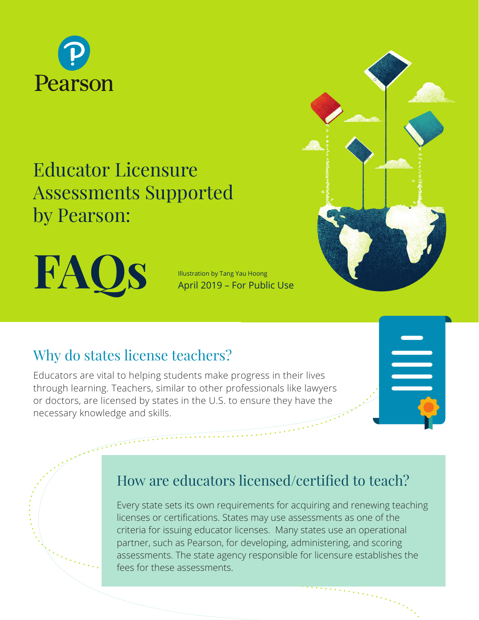

# Educator Licensure Assessments Supported by Pearson:

**FAQS** Illustration by Tang Yau Hoong<br>April 2019 – For Public Use

Illustration by Tang Yau Hoong

## Why do states license teachers?

Educators are vital to helping students make progress in their lives through learning. Teachers, similar to other professionals like lawyers or doctors, are licensed by states in the U.S. to ensure they have the necessary knowledge and skills.

## How are educators licensed/certified to teach?

Every state sets its own requirements for acquiring and renewing teaching licenses or certifications. States may use assessments as one of the criteria for issuing educator licenses. Many states use an operational partner, such as Pearson, for developing, administering, and scoring assessments. The state agency responsible for licensure establishes the fees for these assessments.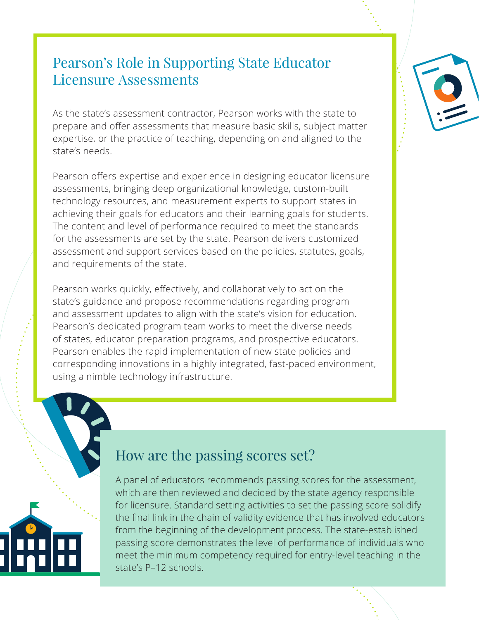#### Pearson's Role in Supporting State Educator Licensure Assessments

As the state's assessment contractor, Pearson works with the state to prepare and offer assessments that measure basic skills, subject matter expertise, or the practice of teaching, depending on and aligned to the state's needs.

Pearson offers expertise and experience in designing educator licensure assessments, bringing deep organizational knowledge, custom-built technology resources, and measurement experts to support states in achieving their goals for educators and their learning goals for students. The content and level of performance required to meet the standards for the assessments are set by the state. Pearson delivers customized assessment and support services based on the policies, statutes, goals, and requirements of the state.

Pearson works quickly, effectively, and collaboratively to act on the state's guidance and propose recommendations regarding program and assessment updates to align with the state's vision for education. Pearson's dedicated program team works to meet the diverse needs of states, educator preparation programs, and prospective educators. Pearson enables the rapid implementation of new state policies and corresponding innovations in a highly integrated, fast-paced environment, using a nimble technology infrastructure.



#### How are the passing scores set?

A panel of educators recommends passing scores for the assessment, which are then reviewed and decided by the state agency responsible for licensure. Standard setting activities to set the passing score solidify the final link in the chain of validity evidence that has involved educators from the beginning of the development process. The state-established passing score demonstrates the level of performance of individuals who meet the minimum competency required for entry-level teaching in the state's P–12 schools.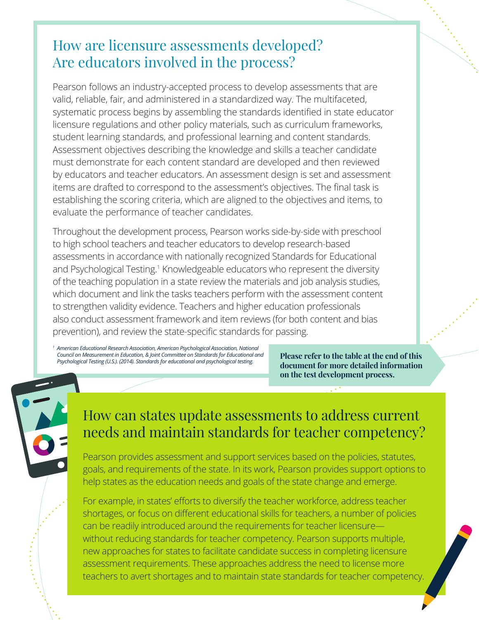## How are licensure assessments developed? Are educators involved in the process?

Pearson follows an industry-accepted process to develop assessments that are valid, reliable, fair, and administered in a standardized way. The multifaceted, systematic process begins by assembling the standards identified in state educator licensure regulations and other policy materials, such as curriculum frameworks, student learning standards, and professional learning and content standards. Assessment objectives describing the knowledge and skills a teacher candidate must demonstrate for each content standard are developed and then reviewed by educators and teacher educators. An assessment design is set and assessment items are drafted to correspond to the assessment's objectives. The final task is establishing the scoring criteria, which are aligned to the objectives and items, to evaluate the performance of teacher candidates.

Throughout the development process, Pearson works side-by-side with preschool to high school teachers and teacher educators to develop research-based assessments in accordance with nationally recognized Standards for Educational and Psychological Testing.<sup>1</sup> Knowledgeable educators who represent the diversity of the teaching population in a state review the materials and job analysis studies, which document and link the tasks teachers perform with the assessment content to strengthen validity evidence. Teachers and higher education professionals also conduct assessment framework and item reviews (for both content and bias prevention), and review the state-specific standards for passing.

*<sup>1</sup> American Educational Research Association, American Psychological Association, National Council on Measurement in Education, & Joint Committee on Standards for Educational and Psychological Testing (U.S.). (2014). Standards for educational and psychological testing.*

**Please refer to the table at the end of this document for more detailed information on the test development process.**

#### How can states update assessments to address current needs and maintain standards for teacher competency?

Pearson provides assessment and support services based on the policies, statutes, goals, and requirements of the state. In its work, Pearson provides support options to help states as the education needs and goals of the state change and emerge.

For example, in states' efforts to diversify the teacher workforce, address teacher shortages, or focus on different educational skills for teachers, a number of policies can be readily introduced around the requirements for teacher licensure without reducing standards for teacher competency. Pearson supports multiple, new approaches for states to facilitate candidate success in completing licensure assessment requirements. These approaches address the need to license more teachers to avert shortages and to maintain state standards for teacher competency.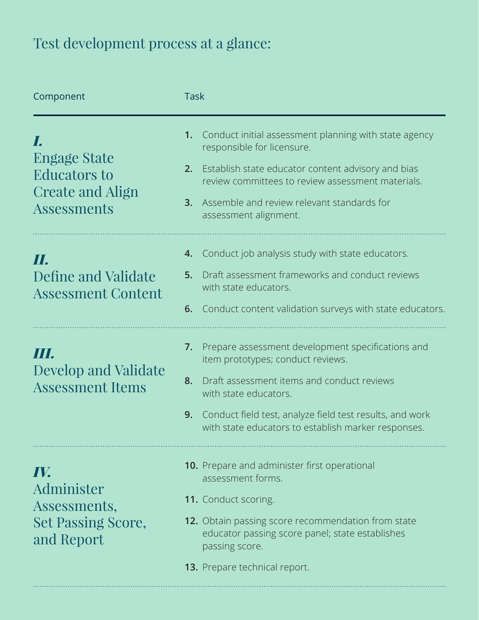## Test development process at a glance:

| Component                                                                     | <b>Task</b>                                                                                                                                                                                                                                                                                        |
|-------------------------------------------------------------------------------|----------------------------------------------------------------------------------------------------------------------------------------------------------------------------------------------------------------------------------------------------------------------------------------------------|
| Engage State<br><b>Educators to</b><br>Create and Align<br><b>Assessments</b> | Conduct initial assessment planning with state agency<br>1.<br>responsible for licensure.<br>Establish state educator content advisory and bias<br>2.<br>review committees to review assessment materials.<br>Assemble and review relevant standards for<br>3.<br>assessment alignment.            |
| П.<br>Define and Validate<br><b>Assessment Content</b>                        | Conduct job analysis study with state educators.<br>4.<br>Draft assessment frameworks and conduct reviews<br>5.<br>with state educators.<br>Conduct content validation surveys with state educators.<br>6.                                                                                         |
| Ш<br><b>Develop and Validate</b><br><b>Assessment Items</b>                   | Prepare assessment development specifications and<br>7.<br>item prototypes; conduct reviews.<br>Draft assessment items and conduct reviews<br>8.<br>with state educators.<br>Conduct field test, analyze field test results, and work<br>9.<br>with state educators to establish marker responses. |
| IV.<br>Administer<br>Assessments,<br><b>Set Passing Score,</b><br>and Report  | 10. Prepare and administer first operational<br>assessment forms.<br><b>11.</b> Conduct scoring.<br>12. Obtain passing score recommendation from state<br>educator passing score panel; state establishes<br>passing score.<br>13. Prepare technical report.                                       |